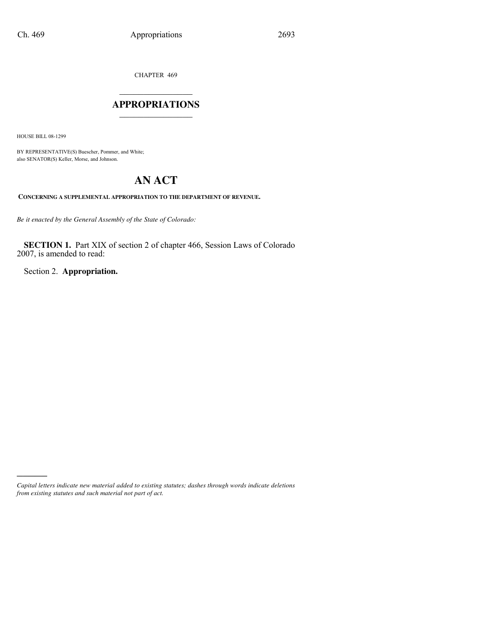CHAPTER 469

## $\mathcal{L}$  , we have the set of the set of the set of the set of the set of the set of the set of the set of the set of the set of the set of the set of the set of the set of the set of the set of the set of the set of the **APPROPRIATIONS** \_\_\_\_\_\_\_\_\_\_\_\_\_\_\_

HOUSE BILL 08-1299

)))))

BY REPRESENTATIVE(S) Buescher, Pommer, and White; also SENATOR(S) Keller, Morse, and Johnson.

# **AN ACT**

**CONCERNING A SUPPLEMENTAL APPROPRIATION TO THE DEPARTMENT OF REVENUE.**

*Be it enacted by the General Assembly of the State of Colorado:*

**SECTION 1.** Part XIX of section 2 of chapter 466, Session Laws of Colorado 2007, is amended to read:

Section 2. **Appropriation.**

*Capital letters indicate new material added to existing statutes; dashes through words indicate deletions from existing statutes and such material not part of act.*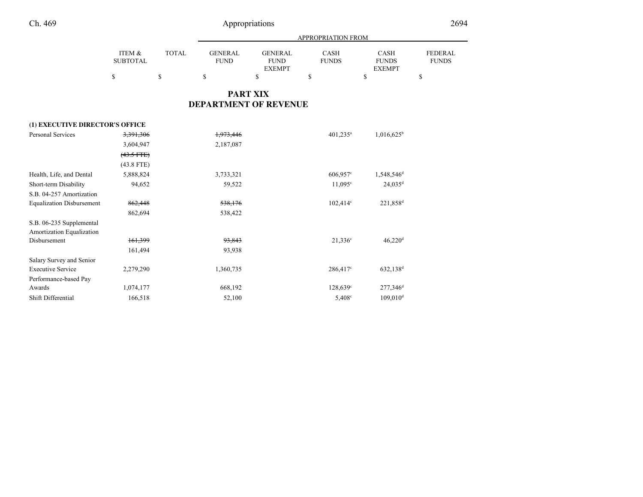## Appropriations <sup>2694</sup>

|                 |        | APPROPRIATION FROM |               |              |               |                |
|-----------------|--------|--------------------|---------------|--------------|---------------|----------------|
| ITEM &          | TOTAL. | <b>GENERAL</b>     | GENERAL       | <b>CASH</b>  | <b>CASH</b>   | <b>FEDERAL</b> |
| <b>SUBTOTAL</b> |        | <b>FUND</b>        | <b>FUND</b>   | <b>FUNDS</b> | <b>FUNDS</b>  | <b>FUNDS</b>   |
|                 |        |                    | <b>EXEMPT</b> |              | <b>EXEMPT</b> |                |
| S               |        |                    |               |              |               |                |

## **PART XIXDEPARTMENT OF REVENUE**

| (1) EXECUTIVE DIRECTOR'S OFFICE  |                 |           |                        |                        |
|----------------------------------|-----------------|-----------|------------------------|------------------------|
| <b>Personal Services</b>         | 3,391,306       | 1,973,446 | $401,235$ <sup>a</sup> | $1,016,625^b$          |
|                                  | 3,604,947       | 2,187,087 |                        |                        |
|                                  | $(43.5$ FTE $)$ |           |                        |                        |
|                                  | $(43.8$ FTE)    |           |                        |                        |
| Health, Life, and Dental         | 5,888,824       | 3,733,321 | 606,957°               | 1,548,546 <sup>d</sup> |
| Short-term Disability            | 94,652          | 59,522    | 11.095c                | $24,035$ <sup>d</sup>  |
| S.B. 04-257 Amortization         |                 |           |                        |                        |
| <b>Equalization Disbursement</b> | 862,448         | 538,176   | $102,414^{\circ}$      | 221,858 <sup>d</sup>   |
|                                  | 862,694         | 538,422   |                        |                        |
| S.B. 06-235 Supplemental         |                 |           |                        |                        |
| Amortization Equalization        |                 |           |                        |                        |
| Disbursement                     | 161,399         | 93,843    | $21,336^{\circ}$       | $46,220$ <sup>d</sup>  |
|                                  | 161,494         | 93,938    |                        |                        |
| Salary Survey and Senior         |                 |           |                        |                        |
| <b>Executive Service</b>         | 2,279,290       | 1,360,735 | $286,417^{\circ}$      | $632,138^d$            |
| Performance-based Pay            |                 |           |                        |                        |
| Awards                           | 1,074,177       | 668,192   | $128,639^{\circ}$      | $277,346$ <sup>d</sup> |
| Shift Differential               | 166,518         | 52,100    | $5,408^{\circ}$        | $109,010^d$            |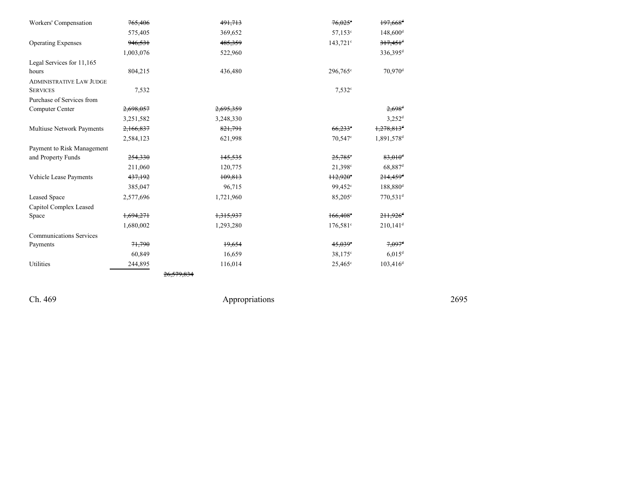| Workers' Compensation           | 765,406   | 491,713   | $76,025^{\circ}$       | $197,668$ <sup>d</sup>   |
|---------------------------------|-----------|-----------|------------------------|--------------------------|
|                                 | 575,405   | 369,652   | $57,153^{\circ}$       | $148,600$ <sup>d</sup>   |
| <b>Operating Expenses</b>       | 946,531   | 485,359   | $143,721$ °            | $317,451$ <sup>d</sup>   |
|                                 | 1,003,076 | 522,960   |                        | $336,395^d$              |
| Legal Services for 11,165       |           |           |                        |                          |
| hours                           | 804,215   | 436,480   | 296,765 <sup>c</sup>   | 70,970 <sup>d</sup>      |
| <b>ADMINISTRATIVE LAW JUDGE</b> |           |           |                        |                          |
| <b>SERVICES</b>                 | 7,532     |           | $7,532^{\circ}$        |                          |
| Purchase of Services from       |           |           |                        |                          |
| Computer Center                 | 2,698,057 | 2,695,359 |                        | $2,698$ <sup>d</sup>     |
|                                 | 3,251,582 | 3,248,330 |                        | $3,252^d$                |
| Multiuse Network Payments       | 2,166,837 | 821,791   | $66,233$ <sup>c</sup>  | $1,278,813$ <sup>d</sup> |
|                                 | 2,584,123 | 621,998   | 70,547 <sup>c</sup>    | 1,891,578 <sup>d</sup>   |
| Payment to Risk Management      |           |           |                        |                          |
| and Property Funds              | 254,330   | 145,535   | $25,785$ <sup>e</sup>  | $83,010$ <sup>d</sup>    |
|                                 | 211,060   | 120,775   | 21,398 <sup>c</sup>    | 68,887 <sup>d</sup>      |
| Vehicle Lease Payments          | 437,192   | 109,813   | $+12.920$ °            | $214,459$ <sup>d</sup>   |
|                                 | 385,047   | 96,715    | 99,452 <sup>c</sup>    | 188,880 <sup>d</sup>     |
| <b>Leased Space</b>             | 2,577,696 | 1,721,960 | 85,205 <sup>c</sup>    | $770,531$ <sup>d</sup>   |
| Capitol Complex Leased          |           |           |                        |                          |
| Space                           | 1,694,271 | 1,315,937 | $166,408$ <sup>e</sup> | $211,926$ <sup>d</sup>   |
|                                 | 1,680,002 | 1,293,280 | $176,581$ c            | $210,141$ <sup>d</sup>   |
| <b>Communications Services</b>  |           |           |                        |                          |
| Payments                        | 71,790    | 19,654    | $45,039$ <sup>c</sup>  | $7.097$ <sup>d</sup>     |
|                                 | 60,849    | 16,659    | 38,175 <sup>c</sup>    | $6,015$ <sup>d</sup>     |
| Utilities                       | 244,895   | 116,014   | $25,465^{\circ}$       | $103,416^d$              |
|                                 |           |           |                        |                          |

Ch. 469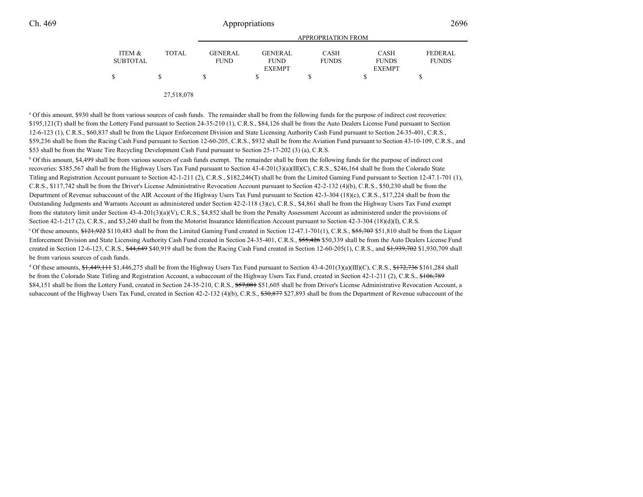|                 |        |                | APPROPRIATION FROM |              |               |                |
|-----------------|--------|----------------|--------------------|--------------|---------------|----------------|
| ITEM &          | TOTAL. | <b>GENERAL</b> | <b>GENERAL</b>     | <b>CASH</b>  | <b>CASH</b>   | <b>FEDERAL</b> |
| <b>SUBTOTAL</b> |        | <b>FUND</b>    | <b>FUND</b>        | <b>FUNDS</b> | <b>FUNDS</b>  | <b>FUNDS</b>   |
|                 |        |                | <b>EXEMPT</b>      |              | <b>EXEMPT</b> |                |
|                 |        |                |                    |              |               |                |
|                 |        |                |                    |              |               |                |

27,518,078

<sup>a</sup> Of this amount, \$930 shall be from various sources of cash funds. The remainder shall be from the following funds for the purpose of indirect cost recoveries: \$195,121(T) shall be from the Lottery Fund pursuant to Section 24-35-210 (1), C.R.S., \$84,126 shall be from the Auto Dealers License Fund pursuant to Section 12-6-123 (1), C.R.S., \$60,837 shall be from the Liquor Enforcement Division and State Licensing Authority Cash Fund pursuant to Section 24-35-401, C.R.S.,\$59,236 shall be from the Racing Cash Fund pursuant to Section 12-60-205, C.R.S., \$932 shall be from the Aviation Fund pursuant to Section 43-10-109, C.R.S., and\$53 shall be from the Waste Tire Recycling Development Cash Fund pursuant to Section 25-17-202 (3) (a), C.R.S.

<sup>b</sup> Of this amount, \$4,499 shall be from various sources of cash funds exempt. The remainder shall be from the following funds for the purpose of indirect cost recoveries: \$385,567 shall be from the Highway Users Tax Fund pursuant to Section 43-4-201(3)(a)(III)(C), C.R.S., \$246,164 shall be from the Colorado State Titling and Registration Account pursuant to Section 42-1-211 (2), C.R.S., \$182,246(T) shall be from the Limited Gaming Fund pursuant to Section 12-47.1-701 (1),C.R.S., \$117,742 shall be from the Driver's License Administrative Revocation Account pursuant to Section 42-2-132 (4)(b), C.R.S., \$50,230 shall be from the Department of Revenue subaccount of the AIR Account of the Highway Users Tax Fund pursuant to Section 42-3-304 (18)(c), C.R.S., \$17,224 shall be from the Outstanding Judgments and Warrants Account as administered under Section 42-2-118 (3)(c), C.R.S., \$4,861 shall be from the Highway Users Tax Fund exemptfrom the statutory limit under Section 43-4-201(3)(a)(V), C.R.S., \$4,852 shall be from the Penalty Assessment Account as administered under the provisions of Section 42-1-217 (2), C.R.S., and \$3,240 shall be from the Motorist Insurance Identification Account pursuant to Section 42-3-304 (18)(d)(I), C.R.S.  $c$  Of these amounts,  $\frac{121,922}{10,483}$  shall be from the Limited Gaming Fund created in Section 12-47.1-701(1), C.R.S.,  $\frac{255,707}{10,60}$  \$51,810 shall be from the Liquor

Enforcement Division and State Licensing Authority Cash Fund created in Section 24-35-401, C.R.S., \$55,426 \$50,339 shall be from the Auto Dealers License Fund created in Section 12-6-123, C.R.S.,  $\frac{44,649}{40,919}$  shall be from the Racing Cash Fund created in Section 12-60-205(1), C.R.S., and  $\frac{41,939,702}{41,930,709}$  shall be from various sources of cash funds.

<sup>d</sup> Of these amounts,  $\frac{1}{2}$ ,  $\frac{1}{2}$ ,  $\frac{1}{2}$ ,  $\frac{1}{2}$ ,  $\frac{1}{2}$ ,  $\frac{1}{2}$ ,  $\frac{1}{2}$ ,  $\frac{1}{2}$ ,  $\frac{1}{2}$ ,  $\frac{1}{2}$ ,  $\frac{1}{2}$ ,  $\frac{1}{2}$ ,  $\frac{1}{2}$ ,  $\frac{1}{2}$ ,  $\frac{1}{2}$ ,  $\frac{1}{2}$ ,  $\frac{1}{2}$ ,  $\frac{1}{2}$ , be from the Colorado State Titling and Registration Account, a subaccount of the Highway Users Tax Fund, created in Section 42-1-211 (2), C.R.S., \$106,789 \$84,151 shall be from the Lottery Fund, created in Section 24-35-210, C.R.S., \$57,081 \$51,605 shall be from Driver's License Administrative Revocation Account, a subaccount of the Highway Users Tax Fund, created in Section 42-2-132 (4)(b), C.R.S., \$30,877 \$27,893 shall be from the Department of Revenue subaccount of the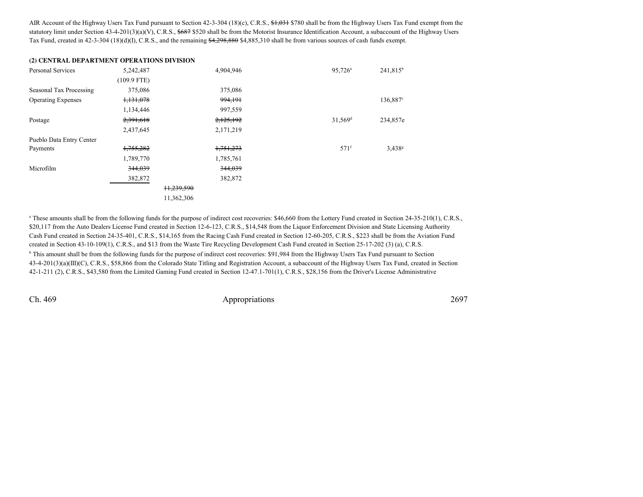AIR Account of the Highway Users Tax Fund pursuant to Section 42-3-304 (18)(c), C.R.S., \$1,031 \$780 shall be from the Highway Users Tax Fund exempt from the statutory limit under Section 43-4-201(3)(a)(V), C.R.S., \$687 \$520 shall be from the Motorist Insurance Identification Account, a subaccount of the Highway Users Tax Fund, created in 42-3-304 (18)(d)(I), C.R.S., and the remaining \$4,298,880 \$4,885,310 shall be from various sources of cash funds exempt.

#### **(2) CENTRAL DEPARTMENT OPERATIONS DIVISION**

| Personal Services         | 5,242,487            |            | 4,904,946 | 95,726 <sup>a</sup> | 241,815 <sup>b</sup> |
|---------------------------|----------------------|------------|-----------|---------------------|----------------------|
|                           | $(109.9$ FTE)        |            |           |                     |                      |
| Seasonal Tax Processing   | 375,086              |            | 375,086   |                     |                      |
| <b>Operating Expenses</b> | <del>1,131,078</del> |            | 994,191   |                     | 136,887 <sup>c</sup> |
|                           | 1,134,446            |            | 997,559   |                     |                      |
| Postage                   | 2,391,618            |            | 2,125,192 | 31,569 <sup>d</sup> | 234,857e             |
|                           | 2,437,645            |            | 2,171,219 |                     |                      |
| Pueblo Data Entry Center  |                      |            |           |                     |                      |
| Payments                  | 1,755,282            |            | 1,751,273 | 571 <sup>f</sup>    | $3,438^{\rm g}$      |
|                           | 1,789,770            |            | 1,785,761 |                     |                      |
| Microfilm                 | 344,039              |            | 344,039   |                     |                      |
|                           | 382,872              |            | 382,872   |                     |                      |
|                           |                      | 11,239,590 |           |                     |                      |
|                           |                      | 11,362,306 |           |                     |                      |

<sup>a</sup> These amounts shall be from the following funds for the purpose of indirect cost recoveries: \$46,660 from the Lottery Fund created in Section 24-35-210(1), C.R.S., \$20,117 from the Auto Dealers License Fund created in Section 12-6-123, C.R.S., \$14,548 from the Liquor Enforcement Division and State Licensing Authority Cash Fund created in Section 24-35-401, C.R.S., \$14,165 from the Racing Cash Fund created in Section 12-60-205, C.R.S., \$223 shall be from the Aviation Fundcreated in Section 43-10-109(1), C.R.S., and \$13 from the Waste Tire Recycling Development Cash Fund created in Section 25-17-202 (3) (a), C.R.S.

<sup>b</sup> This amount shall be from the following funds for the purpose of indirect cost recoveries: \$91,984 from the Highway Users Tax Fund pursuant to Section 43-4-201(3)(a)(III)(C), C.R.S., \$58,866 from the Colorado State Titling and Registration Account, a subaccount of the Highway Users Tax Fund, created in Section42-1-211 (2), C.R.S., \$43,580 from the Limited Gaming Fund created in Section 12-47.1-701(1), C.R.S., \$28,156 from the Driver's License Administrative

Ch. 469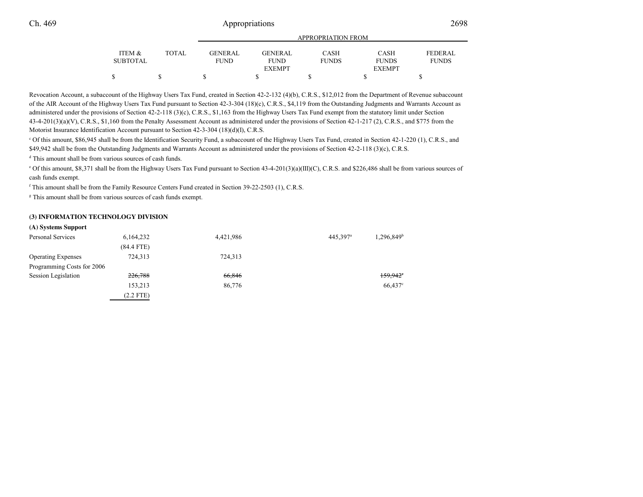|                 |        | <b>APPROPRIATION FROM</b> |               |              |               |                |
|-----------------|--------|---------------------------|---------------|--------------|---------------|----------------|
| ITEM &          | TOTAL. | <b>GENERAL</b>            | GENERAL       | <b>CASH</b>  | <b>CASH</b>   | <b>FEDERAL</b> |
| <b>SUBTOTAL</b> |        | <b>FUND</b>               | <b>FUND</b>   | <b>FUNDS</b> | <b>FUNDS</b>  | <b>FUNDS</b>   |
|                 |        |                           | <b>EXEMPT</b> |              | <b>EXEMPT</b> |                |
|                 |        |                           |               |              |               |                |
|                 |        |                           |               |              |               |                |

Revocation Account, a subaccount of the Highway Users Tax Fund, created in Section 42-2-132 (4)(b), C.R.S., \$12,012 from the Department of Revenue subaccount of the AIR Account of the Highway Users Tax Fund pursuant to Section 42-3-304 (18)(c), C.R.S., \$4,119 from the Outstanding Judgments and Warrants Account asadministered under the provisions of Section 42-2-118 (3)(c), C.R.S., \$1,163 from the Highway Users Tax Fund exempt from the statutory limit under Section 43-4-201(3)(a)(V), C.R.S., \$1,160 from the Penalty Assessment Account as administered under the provisions of Section 42-1-217 (2), C.R.S., and \$775 from the Motorist Insurance Identification Account pursuant to Section 42-3-304 (18)(d)(I), C.R.S.

c Of this amount, \$86,945 shall be from the Identification Security Fund, a subaccount of the Highway Users Tax Fund, created in Section 42-1-220 (1), C.R.S., and\$49,942 shall be from the Outstanding Judgments and Warrants Account as administered under the provisions of Section 42-2-118 (3)(c), C.R.S.

<sup>d</sup> This amount shall be from various sources of cash funds.

e Of this amount, \$8,371 shall be from the Highway Users Tax Fund pursuant to Section 43-4-201(3)(a)(III)(C), C.R.S. and \$226,486 shall be from various sources ofcash funds exempt.

<sup>f</sup> This amount shall be from the Family Resource Centers Fund created in Section 39-22-2503 (1), C.R.S.

<sup>g</sup> This amount shall be from various sources of cash funds exempt.

#### **(3) INFORMATION TECHNOLOGY DIVISION**

| (A) Systems Support |
|---------------------|
|                     |

| Personal Services          | 6,164,232    | 4,421,986 | 445.397 <sup>a</sup> | $1,296,849$ <sup>b</sup> |
|----------------------------|--------------|-----------|----------------------|--------------------------|
|                            | $(84.4$ FTE) |           |                      |                          |
| <b>Operating Expenses</b>  | 724,313      | 724,313   |                      |                          |
| Programming Costs for 2006 |              |           |                      |                          |
| Session Legislation        | 226,788      | 66,846    |                      | $159.942$ <sup>*</sup>   |
|                            | 153,213      | 86,776    |                      | $66,437$ °               |
|                            | $(2.2$ FTE)  |           |                      |                          |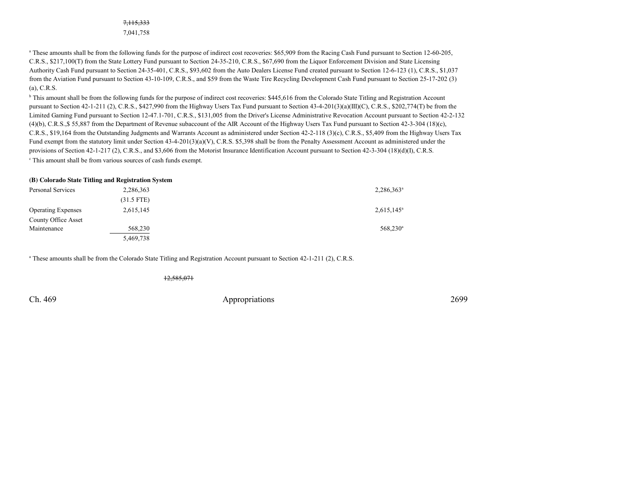## 7,115,3337,041,758

<sup>a</sup> These amounts shall be from the following funds for the purpose of indirect cost recoveries: \$65,909 from the Racing Cash Fund pursuant to Section 12-60-205, C.R.S., \$217,100(T) from the State Lottery Fund pursuant to Section 24-35-210, C.R.S., \$67,690 from the Liquor Enforcement Division and State Licensing Authority Cash Fund pursuant to Section 24-35-401, C.R.S., \$93,602 from the Auto Dealers License Fund created pursuant to Section 12-6-123 (1), C.R.S., \$1,037 from the Aviation Fund pursuant to Section 43-10-109, C.R.S., and \$59 from the Waste Tire Recycling Development Cash Fund pursuant to Section 25-17-202 (3)(a), C.R.S.

<sup>b</sup> This amount shall be from the following funds for the purpose of indirect cost recoveries: \$445,616 from the Colorado State Titling and Registration Account pursuant to Section 42-1-211 (2), C.R.S., \$427,990 from the Highway Users Tax Fund pursuant to Section 43-4-201(3)(a)(III)(C), C.R.S., \$202,774(T) be from the Limited Gaming Fund pursuant to Section 12-47.1-701, C.R.S., \$131,005 from the Driver's License Administrative Revocation Account pursuant to Section 42-2-132(4)(b), C.R.S.,\$ 55,887 from the Department of Revenue subaccount of the AIR Account of the Highway Users Tax Fund pursuant to Section 42-3-304 (18)(c),C.R.S., \$19,164 from the Outstanding Judgments and Warrants Account as administered under Section 42-2-118 (3)(c), C.R.S., \$5,409 from the Highway Users TaxFund exempt from the statutory limit under Section 43-4-201(3)(a)(V), C.R.S. \$5,398 shall be from the Penalty Assessment Account as administered under the provisions of Section 42-1-217 (2), C.R.S., and \$3,606 from the Motorist Insurance Identification Account pursuant to Section 42-3-304 (18)(d)(I), C.R.S.c This amount shall be from various sources of cash funds exempt.

#### **(B) Colorado State Titling and Registration System**

| Personal Services         | 2,286,363    | $2,286,363^a$       |
|---------------------------|--------------|---------------------|
|                           | $(31.5$ FTE) |                     |
| <b>Operating Expenses</b> | 2,615,145    | $2,615,145^{\circ}$ |
| County Office Asset       |              |                     |
| Maintenance               | 568,230      | $568,230^a$         |
|                           | 5,469,738    |                     |

<sup>a</sup> These amounts shall be from the Colorado State Titling and Registration Account pursuant to Section 42-1-211 (2), C.R.S.

12,585,071

Ch. 469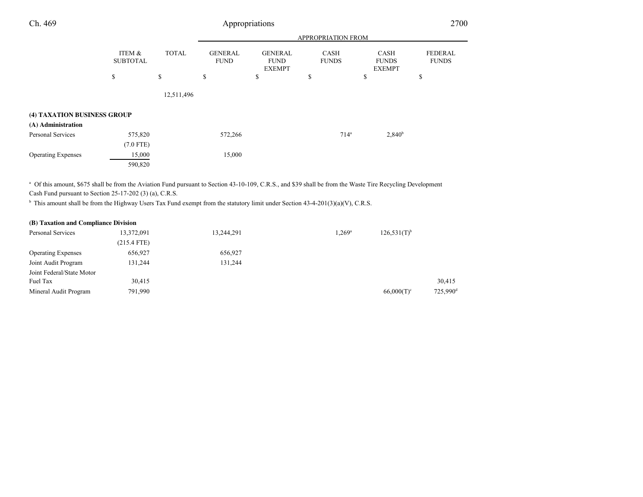| Ch. 469                     |                           | Appropriations |                               |                                                |                             |                                              |                                |
|-----------------------------|---------------------------|----------------|-------------------------------|------------------------------------------------|-----------------------------|----------------------------------------------|--------------------------------|
|                             |                           |                |                               |                                                | APPROPRIATION FROM          |                                              |                                |
|                             | ITEM &<br><b>SUBTOTAL</b> | <b>TOTAL</b>   | <b>GENERAL</b><br><b>FUND</b> | <b>GENERAL</b><br><b>FUND</b><br><b>EXEMPT</b> | <b>CASH</b><br><b>FUNDS</b> | <b>CASH</b><br><b>FUNDS</b><br><b>EXEMPT</b> | <b>FEDERAL</b><br><b>FUNDS</b> |
|                             | \$                        | \$             | \$                            | \$                                             | \$                          | \$                                           | \$                             |
|                             |                           | 12,511,496     |                               |                                                |                             |                                              |                                |
| (4) TAXATION BUSINESS GROUP |                           |                |                               |                                                |                             |                                              |                                |
| (A) Administration          |                           |                |                               |                                                |                             |                                              |                                |
| Personal Services           | 575,820                   |                | 572,266                       |                                                | 714 <sup>a</sup>            | 2,840 <sup>b</sup>                           |                                |
|                             | $(7.0$ FTE)               |                |                               |                                                |                             |                                              |                                |
| <b>Operating Expenses</b>   | 15,000                    |                | 15,000                        |                                                |                             |                                              |                                |
|                             | 590,820                   |                |                               |                                                |                             |                                              |                                |

a Of this amount, \$675 shall be from the Aviation Fund pursuant to Section 43-10-109, C.R.S., and \$39 shall be from the Waste Tire Recycling Development Cash Fund pursuant to Section 25-17-202 (3) (a), C.R.S.

<sup>b</sup> This amount shall be from the Highway Users Tax Fund exempt from the statutory limit under Section 43-4-201(3)(a)(V), C.R.S.

| (B) Taxation and Compliance Division |               |            |                 |                  |                      |
|--------------------------------------|---------------|------------|-----------------|------------------|----------------------|
| Personal Services                    | 13,372,091    | 13,244,291 | $1,269^{\rm a}$ | $126.531(T)^{b}$ |                      |
|                                      | $(215.4$ FTE) |            |                 |                  |                      |
| <b>Operating Expenses</b>            | 656,927       | 656,927    |                 |                  |                      |
| Joint Audit Program                  | 131,244       | 131,244    |                 |                  |                      |
| Joint Federal/State Motor            |               |            |                 |                  |                      |
| Fuel Tax                             | 30,415        |            |                 |                  | 30,415               |
| Mineral Audit Program                | 791,990       |            |                 | $66,000(T)^c$    | 725,990 <sup>c</sup> |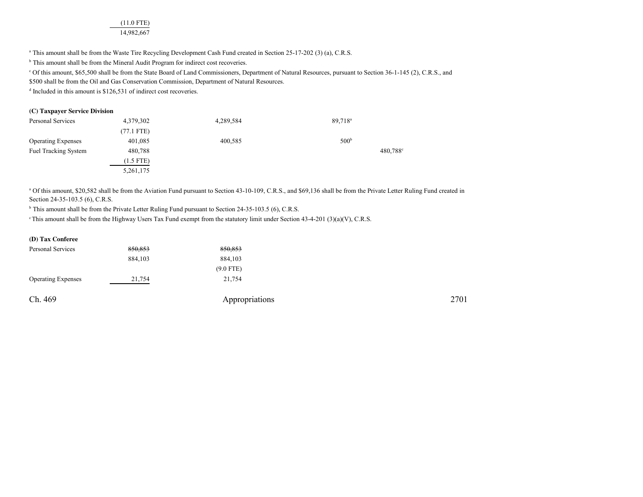(11.0 FTE)14,982,667

<sup>a</sup> This amount shall be from the Waste Tire Recycling Development Cash Fund created in Section 25-17-202 (3) (a), C.R.S.

<sup>b</sup> This amount shall be from the Mineral Audit Program for indirect cost recoveries.

c Of this amount, \$65,500 shall be from the State Board of Land Commissioners, Department of Natural Resources, pursuant to Section 36-1-145 (2), C.R.S., and

\$500 shall be from the Oil and Gas Conservation Commission, Department of Natural Resources.

<sup>d</sup> Included in this amount is \$126,531 of indirect cost recoveries.

#### **(C) Taxpayer Service Division**

| Personal Services           | 4,379,302            | 4,289,584 | 89,718 <sup>a</sup>  |
|-----------------------------|----------------------|-----------|----------------------|
|                             | $(77.1 \text{ FTE})$ |           |                      |
| <b>Operating Expenses</b>   | 401,085              | 400,585   | 500 <sup>b</sup>     |
| <b>Fuel Tracking System</b> | 480,788              |           | 480,788 <sup>c</sup> |
|                             | $(1.5$ FTE)          |           |                      |
|                             | 5,261,175            |           |                      |

<sup>a</sup> Of this amount, \$20,582 shall be from the Aviation Fund pursuant to Section 43-10-109, C.R.S., and \$69,136 shall be from the Private Letter Ruling Fund created in Section 24-35-103.5 (6), C.R.S.

<sup>b</sup> This amount shall be from the Private Letter Ruling Fund pursuant to Section 24-35-103.5 (6), C.R.S.

c This amount shall be from the Highway Users Tax Fund exempt from the statutory limit under Section 43-4-201 (3)(a)(V), C.R.S.

|  | (D) Tax Conferee |
|--|------------------|
|--|------------------|

| 850,853 | 850,853        |      |
|---------|----------------|------|
| 884,103 | 884,103        |      |
|         | $(9.0$ FTE)    |      |
| 21,754  | 21,754         |      |
|         |                |      |
|         | Appropriations | 2701 |
|         |                |      |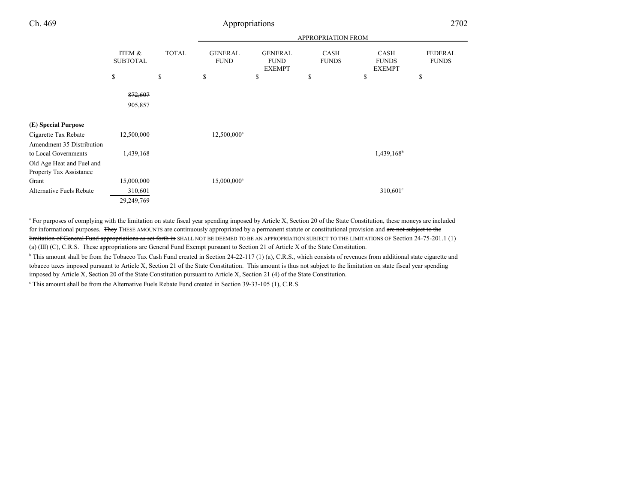|                           |                           |              | APPROPRIATION FROM            |                                                |                             |                                              |                                |
|---------------------------|---------------------------|--------------|-------------------------------|------------------------------------------------|-----------------------------|----------------------------------------------|--------------------------------|
|                           | ITEM &<br><b>SUBTOTAL</b> | <b>TOTAL</b> | <b>GENERAL</b><br><b>FUND</b> | <b>GENERAL</b><br><b>FUND</b><br><b>EXEMPT</b> | <b>CASH</b><br><b>FUNDS</b> | <b>CASH</b><br><b>FUNDS</b><br><b>EXEMPT</b> | <b>FEDERAL</b><br><b>FUNDS</b> |
|                           | \$                        | \$           | \$                            | \$                                             | \$                          | \$                                           | \$                             |
|                           | 872,607<br>905,857        |              |                               |                                                |                             |                                              |                                |
| (E) Special Purpose       |                           |              |                               |                                                |                             |                                              |                                |
| Cigarette Tax Rebate      | 12,500,000                |              | 12,500,000 <sup>a</sup>       |                                                |                             |                                              |                                |
| Amendment 35 Distribution |                           |              |                               |                                                |                             |                                              |                                |
| to Local Governments      | 1,439,168                 |              |                               |                                                |                             | $1,439,168^b$                                |                                |
| Old Age Heat and Fuel and |                           |              |                               |                                                |                             |                                              |                                |
| Property Tax Assistance   |                           |              |                               |                                                |                             |                                              |                                |
| Grant                     | 15,000,000                |              | 15,000,000 <sup>a</sup>       |                                                |                             |                                              |                                |
| Alternative Fuels Rebate  | 310,601                   |              |                               |                                                |                             | $310,601^{\circ}$                            |                                |
|                           | 29,249,769                |              |                               |                                                |                             |                                              |                                |

<sup>a</sup> For purposes of complying with the limitation on state fiscal year spending imposed by Article X, Section 20 of the State Constitution, these moneys are included for informational purposes. They THESE AMOUNTS are continuously appropriated by a permanent statute or constitutional provision and are not subject to the limitation of General Fund appropriations as set forth in SHALL NOT BE DEEMED TO BE AN APPROPRIATION SUBJECT TO THE LIMITATIONS OF Section 24-75-201.1 (1) (a) (III) (C), C.R.S. These appropriations are General Fund Exempt pursuant to Section 21 of Article X of the State Constitution.

<sup>b</sup> This amount shall be from the Tobacco Tax Cash Fund created in Section 24-22-117 (1) (a), C.R.S., which consists of revenues from additional state cigarette and tobacco taxes imposed pursuant to Article X, Section 21 of the State Constitution. This amount is thus not subject to the limitation on state fiscal year spendingimposed by Article X, Section 20 of the State Constitution pursuant to Article X, Section 21 (4) of the State Constitution.

<sup>c</sup> This amount shall be from the Alternative Fuels Rebate Fund created in Section 39-33-105 (1), C.R.S.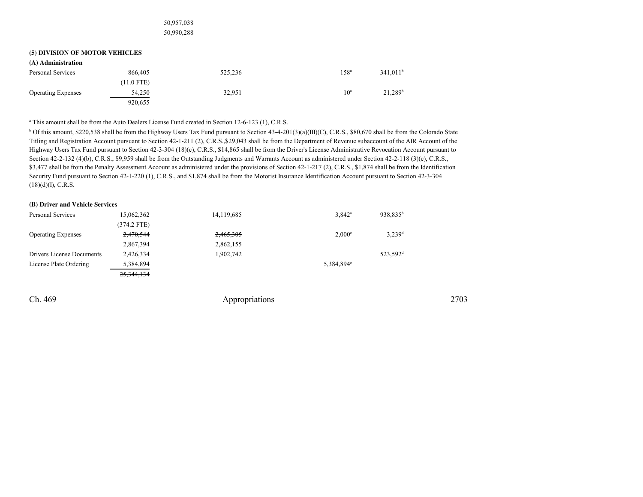50,957,038

50,990,288

#### **(5) DIVISION OF MOTOR VEHICLES**

| (A) Administration        |              |         |                  |                      |
|---------------------------|--------------|---------|------------------|----------------------|
| Personal Services         | 866,405      | 525,236 | 158 <sup>a</sup> | 341.011 <sup>b</sup> |
|                           | $(11.0$ FTE) |         |                  |                      |
| <b>Operating Expenses</b> | 54,250       | 32,951  | $10^{\rm a}$     | 21.289 <sup>b</sup>  |
|                           | 920,655      |         |                  |                      |

<sup>a</sup> This amount shall be from the Auto Dealers License Fund created in Section 12-6-123 (1), C.R.S.

<sup>b</sup> Of this amount, \$220,538 shall be from the Highway Users Tax Fund pursuant to Section 43-4-201(3)(a)(III)(C), C.R.S., \$80,670 shall be from the Colorado State Titling and Registration Account pursuant to Section 42-1-211 (2), C.R.S.,\$29,043 shall be from the Department of Revenue subaccount of the AIR Account of the Highway Users Tax Fund pursuant to Section 42-3-304 (18)(c), C.R.S., \$14,865 shall be from the Driver's License Administrative Revocation Account pursuant toSection 42-2-132 (4)(b), C.R.S., \$9,959 shall be from the Outstanding Judgments and Warrants Account as administered under Section 42-2-118 (3)(c), C.R.S., \$3,477 shall be from the Penalty Assessment Account as administered under the provisions of Section 42-1-217 (2), C.R.S., \$1,874 shall be from the Identification Security Fund pursuant to Section 42-1-220 (1), C.R.S., and \$1,874 shall be from the Motorist Insurance Identification Account pursuant to Section 42-3-304 $(18)(d)(I), C.R.S.$ 

#### **(B) Driver and Vehicle Services**

| Personal Services         | 15,062,362    | 14,119,685 | $3,842^a$              | 938,835 <sup>b</sup> |
|---------------------------|---------------|------------|------------------------|----------------------|
|                           | $(374.2$ FTE) |            |                        |                      |
| <b>Operating Expenses</b> | 2,470,544     | 2,465,305  | $2,000^\circ$          | $3,239$ <sup>d</sup> |
|                           | 2,867,394     | 2,862,155  |                        |                      |
| Drivers License Documents | 2,426,334     | 1,902,742  |                        | 523.592 <sup>d</sup> |
| License Plate Ordering    | 5,384,894     |            | 5,384,894 <sup>e</sup> |                      |
|                           | 25, 344, 134  |            |                        |                      |

Ch. 469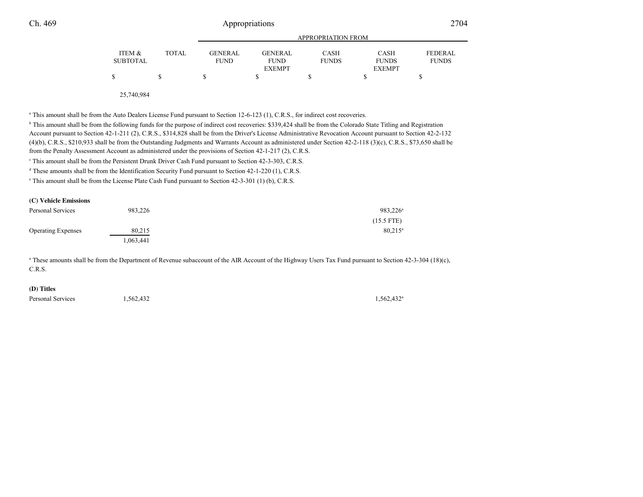|                 |        |             | APPROPRIATION FROM           |              |                               |                |  |  |  |
|-----------------|--------|-------------|------------------------------|--------------|-------------------------------|----------------|--|--|--|
| ITEM &          | TOTAL. | GENERAL     | GENERAL                      | <b>CASH</b>  | <b>CASH</b>                   | <b>FEDERAL</b> |  |  |  |
| <b>SUBTOTAL</b> |        | <b>FUND</b> | <b>FUND</b><br><b>EXEMPT</b> | <b>FUNDS</b> | <b>FUNDS</b><br><b>EXEMPT</b> | <b>FUNDS</b>   |  |  |  |
|                 |        |             |                              |              |                               |                |  |  |  |

25,740,984

<sup>a</sup> This amount shall be from the Auto Dealers License Fund pursuant to Section 12-6-123 (1), C.R.S., for indirect cost recoveries.

<sup>b</sup> This amount shall be from the following funds for the purpose of indirect cost recoveries: \$339,424 shall be from the Colorado State Titling and Registration Account pursuant to Section 42-1-211 (2), C.R.S., \$314,828 shall be from the Driver's License Administrative Revocation Account pursuant to Section 42-2-132 (4)(b), C.R.S., \$210,933 shall be from the Outstanding Judgments and Warrants Account as administered under Section 42-2-118 (3)(c), C.R.S., \$73,650 shall befrom the Penalty Assessment Account as administered under the provisions of Section 42-1-217 (2), C.R.S.

<sup>c</sup> This amount shall be from the Persistent Drunk Driver Cash Fund pursuant to Section 42-3-303, C.R.S.

<sup>d</sup> These amounts shall be from the Identification Security Fund pursuant to Section 42-1-220 (1), C.R.S.

e This amount shall be from the License Plate Cash Fund pursuant to Section 42-3-301 (1) (b), C.R.S.

| (C) Vehicle Emissions     |          |                   |
|---------------------------|----------|-------------------|
| Personal Services         | 983.226  | $983,226^{\circ}$ |
|                           |          | $(15.5$ FTE)      |
| <b>Operating Expenses</b> | 80,215   | $80,215^{\rm a}$  |
|                           | .063,441 |                   |

<sup>a</sup> These amounts shall be from the Department of Revenue subaccount of the AIR Account of the Highway Users Tax Fund pursuant to Section 42-3-304 (18)(c), C.R.S.

## **(D) Titles**

Personal Services  $1,562,432$   $1,562,432$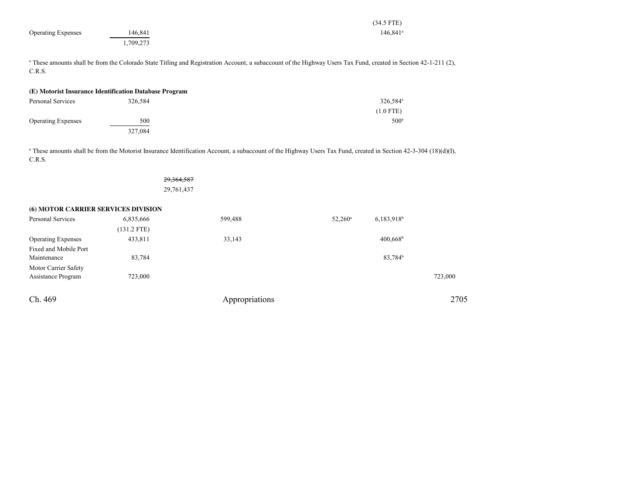|                                     |                                                        |                                                                                                                                                                             |                  | $(34.5$ FTE)             |         |
|-------------------------------------|--------------------------------------------------------|-----------------------------------------------------------------------------------------------------------------------------------------------------------------------------|------------------|--------------------------|---------|
| <b>Operating Expenses</b>           | 146,841                                                |                                                                                                                                                                             |                  | 146,841 <sup>a</sup>     |         |
|                                     | 1,709,273                                              |                                                                                                                                                                             |                  |                          |         |
|                                     |                                                        |                                                                                                                                                                             |                  |                          |         |
|                                     |                                                        | <sup>a</sup> These amounts shall be from the Colorado State Titling and Registration Account, a subaccount of the Highway Users Tax Fund, created in Section 42-1-211 (2),  |                  |                          |         |
| C.R.S.                              |                                                        |                                                                                                                                                                             |                  |                          |         |
|                                     |                                                        |                                                                                                                                                                             |                  |                          |         |
|                                     | (E) Motorist Insurance Identification Database Program |                                                                                                                                                                             |                  |                          |         |
| Personal Services                   | 326,584                                                |                                                                                                                                                                             |                  | 326,584 <sup>a</sup>     |         |
|                                     |                                                        |                                                                                                                                                                             |                  | $(1.0$ FTE)              |         |
| <b>Operating Expenses</b>           | 500                                                    |                                                                                                                                                                             |                  | 500 <sup>a</sup>         |         |
|                                     | 327,084                                                |                                                                                                                                                                             |                  |                          |         |
|                                     |                                                        |                                                                                                                                                                             |                  |                          |         |
|                                     |                                                        | <sup>a</sup> These amounts shall be from the Motorist Insurance Identification Account, a subaccount of the Highway Users Tax Fund, created in Section 42-3-304 (18)(d)(I), |                  |                          |         |
| C.R.S.                              |                                                        |                                                                                                                                                                             |                  |                          |         |
|                                     |                                                        |                                                                                                                                                                             |                  |                          |         |
|                                     | 29,364,587                                             |                                                                                                                                                                             |                  |                          |         |
|                                     | 29,761,437                                             |                                                                                                                                                                             |                  |                          |         |
|                                     |                                                        |                                                                                                                                                                             |                  |                          |         |
| (6) MOTOR CARRIER SERVICES DIVISION |                                                        |                                                                                                                                                                             |                  |                          |         |
| Personal Services                   | 6,835,666                                              | 599,488                                                                                                                                                                     | $52,260^{\circ}$ | $6,183,918$ <sup>b</sup> |         |
|                                     | $(131.2$ FTE)                                          |                                                                                                                                                                             |                  |                          |         |
| <b>Operating Expenses</b>           | 433,811                                                | 33,143                                                                                                                                                                      |                  | $400,668^{\rm b}$        |         |
| Fixed and Mobile Port               |                                                        |                                                                                                                                                                             |                  |                          |         |
| Maintenance                         | 83,784                                                 |                                                                                                                                                                             |                  | 83,784 <sup>b</sup>      |         |
| Motor Carrier Safety                |                                                        |                                                                                                                                                                             |                  |                          |         |
| Assistance Program                  | 723,000                                                |                                                                                                                                                                             |                  |                          | 723,000 |

Assistance Program 723,000 723,000

| Ch. | 469 |
|-----|-----|
|-----|-----|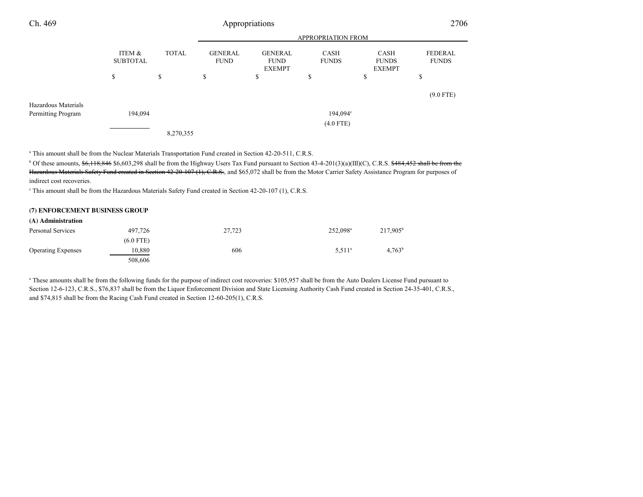| Ch. 469             |                           |              |    | Appropriations                                 |                             |                                              | 2706                           |
|---------------------|---------------------------|--------------|----|------------------------------------------------|-----------------------------|----------------------------------------------|--------------------------------|
|                     | <b>APPROPRIATION FROM</b> |              |    |                                                |                             |                                              |                                |
|                     | ITEM &<br><b>SUBTOTAL</b> | <b>TOTAL</b> |    | <b>GENERAL</b><br><b>FUND</b><br><b>EXEMPT</b> | <b>CASH</b><br><b>FUNDS</b> | <b>CASH</b><br><b>FUNDS</b><br><b>EXEMPT</b> | <b>FEDERAL</b><br><b>FUNDS</b> |
|                     | \$                        | \$           | \$ | D                                              | \$                          | \$                                           | S                              |
| Hazardous Materials |                           |              |    |                                                |                             |                                              | $(9.0$ FTE)                    |
| Permitting Program  | 194,094                   |              |    |                                                | $194,094^{\circ}$           |                                              |                                |
|                     |                           |              |    |                                                | $(4.0$ FTE)                 |                                              |                                |
|                     |                           | 8,270,355    |    |                                                |                             |                                              |                                |

a This amount shall be from the Nuclear Materials Transportation Fund created in Section 42-20-511, C.R.S.

 $b$  Of these amounts,  $\frac{6}{36}$ ,  $\frac{18,846}{6}$  \$6,603,298 shall be from the Highway Users Tax Fund pursuant to Section 43-4-201(3)(a)(III)(C), C.R.S.  $\frac{484,452}{6}$  shall be from the Hazardous Materials Safety Fund created in Section 42-20-107 (1), C.R.S., and \$65,072 shall be from the Motor Carrier Safety Assistance Program for purposes of indirect cost recoveries.

c This amount shall be from the Hazardous Materials Safety Fund created in Section 42-20-107 (1), C.R.S.

#### **(7) ENFORCEMENT BUSINESS GROUP**

| (A) Administration        |             |        |                      |                   |
|---------------------------|-------------|--------|----------------------|-------------------|
| Personal Services         | 497,726     | 27,723 | 252,098 <sup>a</sup> | $217,905^{\rm b}$ |
|                           | $(6.0$ FTE) |        |                      |                   |
| <b>Operating Expenses</b> | 10,880      | 606    | $5.511^a$            | $4,763^b$         |
|                           | 508,606     |        |                      |                   |

<sup>a</sup> These amounts shall be from the following funds for the purpose of indirect cost recoveries: \$105,957 shall be from the Auto Dealers License Fund pursuant to Section 12-6-123, C.R.S., \$76,837 shall be from the Liquor Enforcement Division and State Licensing Authority Cash Fund created in Section 24-35-401, C.R.S., and \$74,815 shall be from the Racing Cash Fund created in Section 12-60-205(1), C.R.S.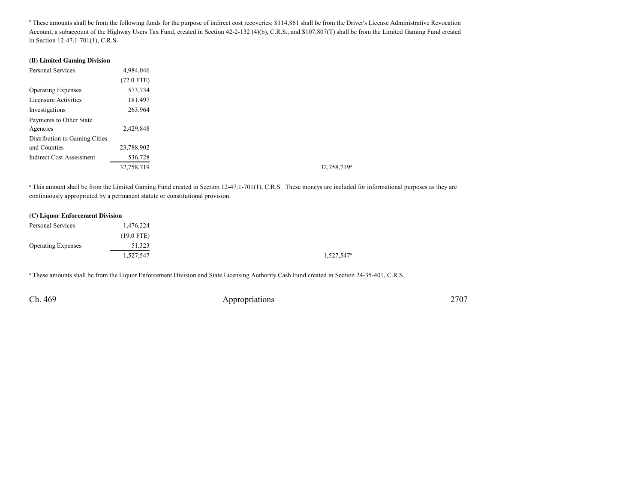<sup>b</sup> These amounts shall be from the following funds for the purpose of indirect cost recoveries: \$114,861 shall be from the Driver's License Administrative Revocation Account, a subaccount of the Highway Users Tax Fund, created in Section 42-2-132 (4)(b), C.R.S., and \$107,807(T) shall be from the Limited Gaming Fund createdin Section 12-47.1-701(1), C.R.S.

#### **(B) Limited Gaming Division**

| Personal Services               | 4,984,046    |
|---------------------------------|--------------|
|                                 | $(72.0$ FTE) |
| <b>Operating Expenses</b>       | 573,734      |
| Licensure Activities            | 181,497      |
| Investigations                  | 263,964      |
| Payments to Other State         |              |
| Agencies                        | 2,429,848    |
| Distribution to Gaming Cities   |              |
| and Counties                    | 23,788,902   |
| <b>Indirect Cost Assessment</b> | 536,728      |
|                                 | 32,758,719   |

<sup>a</sup> This amount shall be from the Limited Gaming Fund created in Section 12-47.1-701(1), C.R.S. These moneys are included for informational purposes as they are continuously appropriated by a permanent statute or constitutional provision.

#### **(C) Liquor Enforcement Division**

| Personal Services         | 1,476,224    |
|---------------------------|--------------|
|                           | $(19.0$ FTE) |
| <b>Operating Expenses</b> | 51,323       |
|                           | 1,527,547    |

<sup>a</sup> These amounts shall be from the Liquor Enforcement Division and State Licensing Authority Cash Fund created in Section 24-35-401, C.R.S.

Ch. 469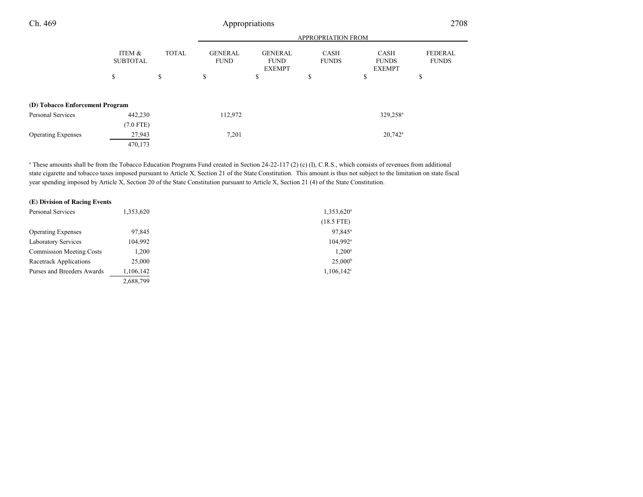| Ch. 469                         |                           | Appropriations |                               |                                                |                             |                                              | 2708                           |  |
|---------------------------------|---------------------------|----------------|-------------------------------|------------------------------------------------|-----------------------------|----------------------------------------------|--------------------------------|--|
|                                 |                           |                |                               | <b>APPROPRIATION FROM</b>                      |                             |                                              |                                |  |
|                                 | ITEM &<br><b>SUBTOTAL</b> | <b>TOTAL</b>   | <b>GENERAL</b><br><b>FUND</b> | <b>GENERAL</b><br><b>FUND</b><br><b>EXEMPT</b> | <b>CASH</b><br><b>FUNDS</b> | <b>CASH</b><br><b>FUNDS</b><br><b>EXEMPT</b> | <b>FEDERAL</b><br><b>FUNDS</b> |  |
|                                 | \$                        | \$             | \$                            | \$                                             | \$                          | \$                                           | ъ                              |  |
| (D) Tobacco Enforcement Program |                           |                |                               |                                                |                             |                                              |                                |  |
| Personal Services               | 442,230                   |                | 112,972                       |                                                |                             | 329,258 <sup>a</sup>                         |                                |  |
|                                 | $(7.0$ FTE)               |                |                               |                                                |                             |                                              |                                |  |
| <b>Operating Expenses</b>       | 27,943                    |                | 7,201                         |                                                |                             | $20,742^a$                                   |                                |  |
|                                 | 470,173                   |                |                               |                                                |                             |                                              |                                |  |

<sup>a</sup> These amounts shall be from the Tobacco Education Programs Fund created in Section 24-22-117 (2) (c) (I), C.R.S., which consists of revenues from additional state cigarette and tobacco taxes imposed pursuant to Article X, Section 21 of the State Constitution. This amount is thus not subject to the limitation on state fiscalyear spending imposed by Article X, Section 20 of the State Constitution pursuant to Article X, Section 21 (4) of the State Constitution.

| (E) Division of Racing Events   |           |                     |
|---------------------------------|-----------|---------------------|
| Personal Services               | 1,353,620 | $1,353,620^a$       |
|                                 |           | $(18.5$ FTE)        |
| <b>Operating Expenses</b>       | 97,845    | 97,845 <sup>a</sup> |
| <b>Laboratory Services</b>      | 104,992   | $104,992^{\circ}$   |
| <b>Commission Meeting Costs</b> | 1,200     | $1,200^a$           |
| Racetrack Applications          | 25,000    | 25,000 <sup>b</sup> |
| Purses and Breeders Awards      | 1,106,142 | $1,106,142^{\circ}$ |
|                                 | 2,688,799 |                     |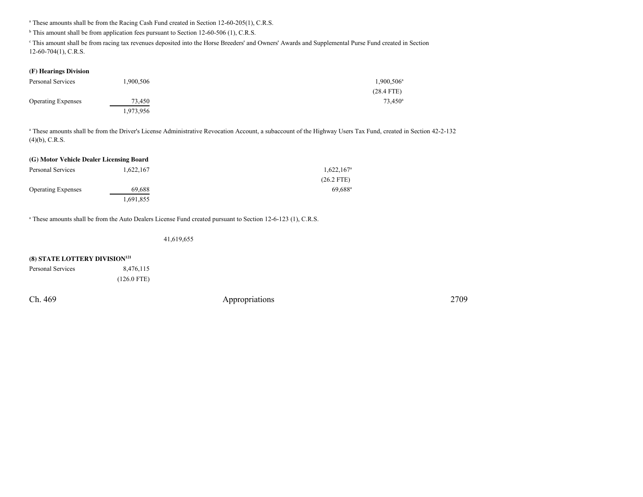<sup>a</sup> These amounts shall be from the Racing Cash Fund created in Section 12-60-205(1), C.R.S.

 $<sup>b</sup>$  This amount shall be from application fees pursuant to Section 12-60-506 (1), C.R.S.</sup>

<sup>c</sup> This amount shall be from racing tax revenues deposited into the Horse Breeders' and Owners' Awards and Supplemental Purse Fund created in Section 12-60-704(1), C.R.S.

#### **(F) Hearings Division**

| Personal Services         | .900,506  | $1,900,506^{\circ}$ |
|---------------------------|-----------|---------------------|
|                           |           | $(28.4$ FTE)        |
| <b>Operating Expenses</b> | 73,450    | $73.450^{\circ}$    |
|                           | 1,973,956 |                     |

a These amounts shall be from the Driver's License Administrative Revocation Account, a subaccount of the Highway Users Tax Fund, created in Section 42-2-132(4)(b), C.R.S.

| (G) Motor Vehicle Dealer Licensing Board |           |                       |
|------------------------------------------|-----------|-----------------------|
| Personal Services                        | 1,622,167 | $1,622,167^{\circ}$   |
|                                          |           | $(26.2$ FTE)          |
| <b>Operating Expenses</b>                | 69,688    | $69.688$ <sup>a</sup> |
|                                          | 1,691,855 |                       |

<sup>a</sup> These amounts shall be from the Auto Dealers License Fund created pursuant to Section 12-6-123 (1), C.R.S.

41,619,655

### **(8) STATE LOTTERY DIVISION<sup>121</sup>**

| Personal Services | 8,476,115     |  |
|-------------------|---------------|--|
|                   | $(126.0$ FTE) |  |

Ch. 469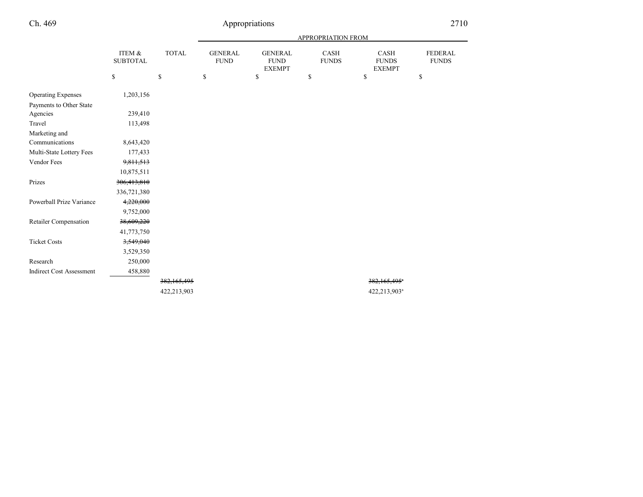# Ch. 469

|                                 |                           |              | <b>APPROPRIATION FROM</b>     |                                                |                      |                                       |                                |  |
|---------------------------------|---------------------------|--------------|-------------------------------|------------------------------------------------|----------------------|---------------------------------------|--------------------------------|--|
|                                 | ITEM &<br><b>SUBTOTAL</b> | <b>TOTAL</b> | <b>GENERAL</b><br><b>FUND</b> | <b>GENERAL</b><br><b>FUND</b><br><b>EXEMPT</b> | CASH<br><b>FUNDS</b> | CASH<br><b>FUNDS</b><br><b>EXEMPT</b> | <b>FEDERAL</b><br><b>FUNDS</b> |  |
|                                 | \$                        | \$           | \$                            | $\mathbb{S}$                                   | \$                   | \$                                    | \$                             |  |
| <b>Operating Expenses</b>       | 1,203,156                 |              |                               |                                                |                      |                                       |                                |  |
| Payments to Other State         |                           |              |                               |                                                |                      |                                       |                                |  |
| Agencies                        | 239,410                   |              |                               |                                                |                      |                                       |                                |  |
| Travel                          | 113,498                   |              |                               |                                                |                      |                                       |                                |  |
| Marketing and                   |                           |              |                               |                                                |                      |                                       |                                |  |
| Communications                  | 8,643,420                 |              |                               |                                                |                      |                                       |                                |  |
| Multi-State Lottery Fees        | 177,433                   |              |                               |                                                |                      |                                       |                                |  |
| Vendor Fees                     | 9,811,513                 |              |                               |                                                |                      |                                       |                                |  |
|                                 | 10,875,511                |              |                               |                                                |                      |                                       |                                |  |
| Prizes                          | 306,413,810               |              |                               |                                                |                      |                                       |                                |  |
|                                 | 336,721,380               |              |                               |                                                |                      |                                       |                                |  |
| Powerball Prize Variance        | 4,220,000                 |              |                               |                                                |                      |                                       |                                |  |
|                                 | 9,752,000                 |              |                               |                                                |                      |                                       |                                |  |
| Retailer Compensation           | 38,609,220                |              |                               |                                                |                      |                                       |                                |  |
|                                 | 41,773,750                |              |                               |                                                |                      |                                       |                                |  |
| <b>Ticket Costs</b>             | 3,549,040                 |              |                               |                                                |                      |                                       |                                |  |
|                                 | 3,529,350                 |              |                               |                                                |                      |                                       |                                |  |
| Research                        | 250,000                   |              |                               |                                                |                      |                                       |                                |  |
| <b>Indirect Cost Assessment</b> | 458,880                   |              |                               |                                                |                      |                                       |                                |  |
|                                 |                           | 382,165,495  |                               |                                                |                      | $382,165,495$ <sup>*</sup>            |                                |  |
|                                 |                           | 422,213,903  |                               |                                                |                      | 422,213,903 <sup>a</sup>              |                                |  |
|                                 |                           |              |                               |                                                |                      |                                       |                                |  |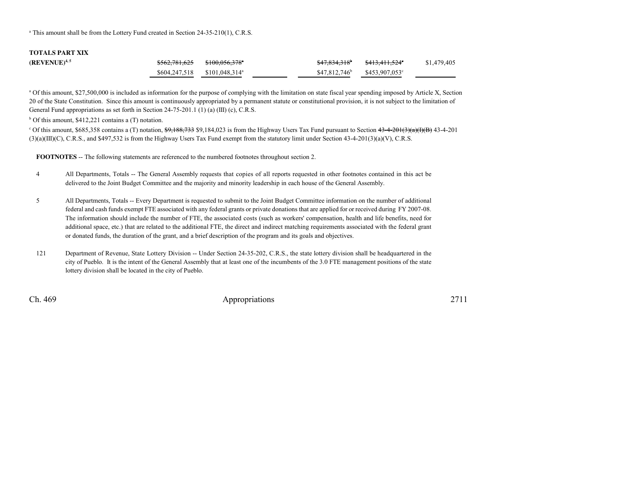<sup>a</sup> This amount shall be from the Lottery Fund created in Section 24-35-210(1), C.R.S.

# **TOTALS PART XIX**

| $(\rm REVENUE)^{4,5}$ | \$562,781,625 \$100,056,378°    |  | <del>\$47,834,318</del> \$413,411,524 | \$1,479,405 |
|-----------------------|---------------------------------|--|---------------------------------------|-------------|
|                       | $$604,247,518$ $$101,048,314^a$ |  | $$47,812,746^b$ $$453,907,053^c$      |             |

<sup>a</sup> Of this amount, \$27,500,000 is included as information for the purpose of complying with the limitation on state fiscal year spending imposed by Article X, Section 20 of the State Constitution. Since this amount is continuously appropriated by a permanent statute or constitutional provision, it is not subject to the limitation ofGeneral Fund appropriations as set forth in Section 24-75-201.1 (1) (a) (III) (c), C.R.S.

 $<sup>b</sup>$  Of this amount, \$412,221 contains a (T) notation.</sup>

<sup>c</sup> Of this amount, \$685,358 contains a (T) notation,  $$9,188,733$  \$9,184,023 is from the Highway Users Tax Fund pursuant to Section  $43-4-201(3)(a)(B)$  43-4-201 (3)(a)(III)(C), C.R.S., and \$497,532 is from the Highway Users Tax Fund exempt from the statutory limit under Section 43-4-201(3)(a)(V), C.R.S.

**FOOTNOTES** -- The following statements are referenced to the numbered footnotes throughout section 2.

- <sup>4</sup> All Departments, Totals -- The General Assembly requests that copies of all reports requested in other footnotes contained in this act be delivered to the Joint Budget Committee and the majority and minority leadership in each house of the General Assembly.
- <sup>5</sup> All Departments, Totals -- Every Department is requested to submit to the Joint Budget Committee information on the number of additional federal and cash funds exempt FTE associated with any federal grants or private donations that are applied for or received during FY 2007-08. The information should include the number of FTE, the associated costs (such as workers' compensation, health and life benefits, need for additional space, etc.) that are related to the additional FTE, the direct and indirect matching requirements associated with the federal grantor donated funds, the duration of the grant, and a brief description of the program and its goals and objectives.
- <sup>121</sup> Department of Revenue, State Lottery Division -- Under Section 24-35-202, C.R.S., the state lottery division shall be headquartered in the city of Pueblo. It is the intent of the General Assembly that at least one of the incumbents of the 3.0 FTE management positions of the statelottery division shall be located in the city of Pueblo.

Ch. 469